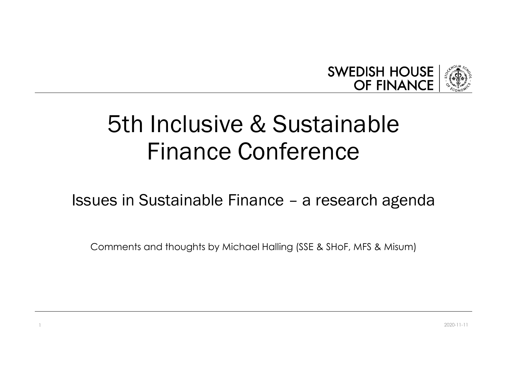

# 5th Inclusive & Sustainable Finance Conference SWEDISH HOUSE<br>
IST DISTURBANCE<br>
ISSUES IN ANCE CONFERENCE<br>
ISSUES IN SUSTAINABLE FINANCE CONFERENCE<br>
ISSUES IN THE RESEARCE AND NOTE AND NOT A RESEARCH AGENCY OF A RESEARCH OF A RESEARCH OF A RESEARCH OF A RESEARCH OF A RE

Comments and thoughts by Michael Halling (SSE & SHoF, MFS & Misum)

1 2020-11-11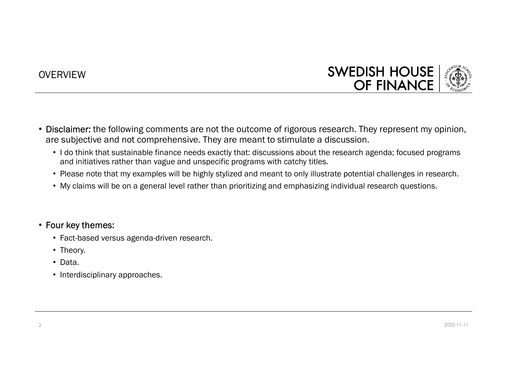### **OVERVIEW**



- Disclaimer: the following comments are not the outcome of rigorous research. They represent my opinion, are subjective and not comprehensive. They are meant to stimulate a discussion.
	- I do think that sustainable finance needs exactly that: discussions about the research agenda; focused programs and initiatives rather than vague and unspecific programs with catchy titles.
	- Please note that my examples will be highly stylized and meant to only illustrate potential challenges in research.
	- My claims will be on a general level rather than prioritizing and emphasizing individual research questions.

### • Four key themes:

- Fact-based versus agenda-driven research.
- Theory.
- Data.
- Interdisciplinary approaches.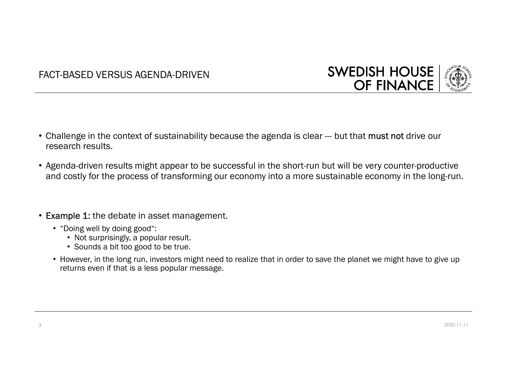



- Challenge in the context of sustainability because the agenda is clear --- but that must not drive our research results.
- Agenda-driven results might appear to be successful in the short-run but will be very counter-productive and costly for the process of transforming our economy into a more sustainable economy in the long-run.
- Example 1: the debate in asset management.
	- "Doing well by doing good":
		- Not surprisingly, a popular result.
		- Sounds a bit too good to be true.
	- However, in the long run, investors might need to realize that in order to save the planet we might have to give up returns even if that is a less popular message.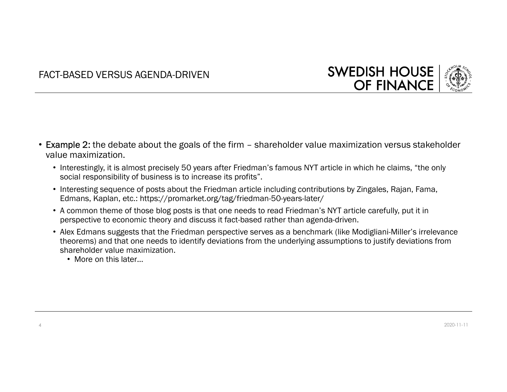



- FACT-BASED VERSUS AGENDA-DRIVEN<br>
SWEDISH HOUSE<br>
∴<br>
∴<br>
 Example 2: the debate about the goals of the firm shareholder value maximization versus stakeholder<br>
value maximization.<br>
 Interestingly, it is almost precisely value maximization.
	- Interestingly, it is almost precisely 50 years after Friedman's famous NYT article in which he claims, "the only social responsibility of business is to increase its profits".
	- Interesting sequence of posts about the Friedman article including contributions by Zingales, Rajan, Fama, Edmans, Kaplan, etc.: https://promarket.org/tag/friedman-50-years-later/
	- A common theme of those blog posts is that one needs to read Friedman's NYT article carefully, put it in perspective to economic theory and discuss it fact-based rather than agenda-driven.
	- Alex Edmans suggests that the Friedman perspective serves as a benchmark (like Modigliani-Miller's irrelevance theorems) and that one needs to identify deviations from the underlying assumptions to justify deviations from shareholder value maximization.
		- More on this later...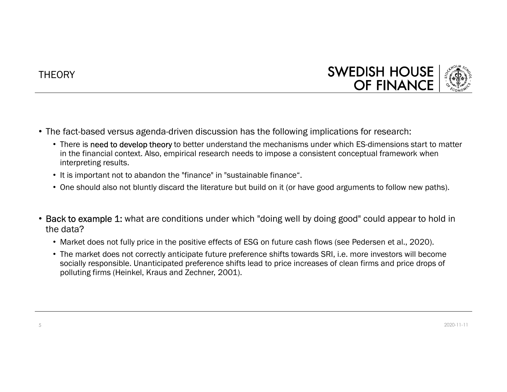# **THEORY**



- The fact-based versus agenda-driven discussion has the following implications for research:
- There is need to develop theory to better understand the mechanisms under which ES-dimensions start to matter in the financial context. Also, empirical research needs to impose a consistent conceptual framework when interpreting results. SWEDISH HOUSE (<br>
SWEDISH HOUSE (<br>
The fact-based versus agenda-driven discussion has the following implications for research:<br>
The fact-based versus agenda-driven discussion has the following implications for research:<br>
Th efact-based versus agenda-driven discussion has the following implications for research:<br>
• There is need to develop theory to better understand the mechanisms under which ES-dimensions start to matter<br>
in the financial co
	-
	-
- the data?
	- Market does not fully price in the positive effects of ESG on future cash flows (see Pedersen et al., 2020).
	- socially responsible. Unanticipated preference shifts lead to price increases of clean firms and price drops of polluting firms (Heinkel, Kraus and Zechner, 2001).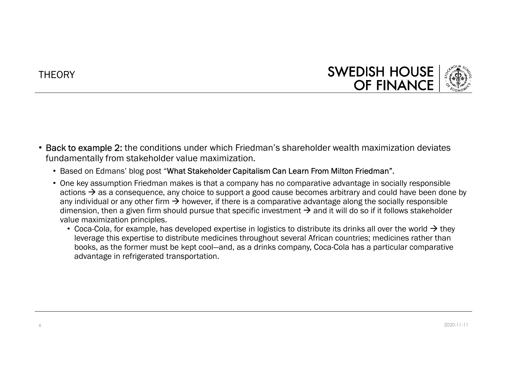# **THEORY**



- Back to example 2: the conditions under which Friedman's shareholder wealth maximization deviates fundamentally from stakeholder value maximization.
	- Based on Edmans' blog post "What Stakeholder Capitalism Can Learn From Milton Friedman".
	- One key assumption Friedman makes is that a company has no comparative advantage in socially responsible actions  $\rightarrow$  as a consequence, any choice to support a good cause becomes arbitrary and could have been done by any individual or any other firm  $\rightarrow$  however, if there is a comparative advantage along the socially responsible dimension, then a given firm should pursue that specific investment  $\rightarrow$  and it will do so if it follows stakeholder value maximization principles.
		- Coca-Cola, for example, has developed expertise in logistics to distribute its drinks all over the world  $\rightarrow$  they leverage this expertise to distribute medicines throughout several African countries; medicines rather than books, as the former must be kept cool—and, as a drinks company, Coca-Cola has a particular comparative advantage in refrigerated transportation.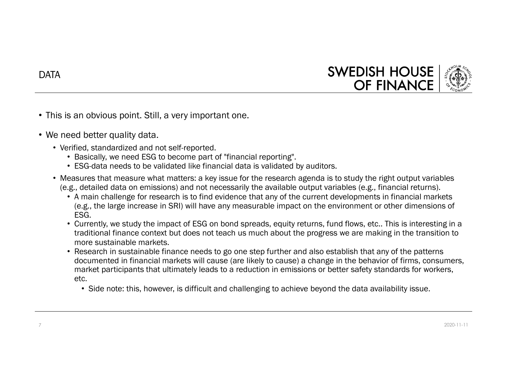

- This is an obvious point. Still, a very important one.
- We need better quality data.
	- Verified, standardized and not self-reported.
		- Basically, we need ESG to become part of "financial reporting".
		- ESG-data needs to be validated like financial data is validated by auditors.
	- Measures that measure what matters: a key issue for the research agenda is to study the right output variables (e.g., detailed data on emissions) and not necessarily the available output variables (e.g., financial returns).
		- A main challenge for research is to find evidence that any of the current developments in financial markets (e.g., the large increase in SRI) will have any measurable impact on the environment or other dimensions of ESG.
		- Currently, we study the impact of ESG on bond spreads, equity returns, fund flows, etc.. This is interesting in a traditional finance context but does not teach us much about the progress we are making in the transition to more sustainable markets.
- **Community** is an obvious point. Still, a very important one.<br>
Freed better quality data.<br>
Fried, standardized and not self-reported.<br>
 EaS-data needs to be become part of "financial reporting".<br>
 EaS-data needs to be va documented in financial markets will cause (are likely to cause) a change in the behavior of firms, consumers, market participants that ultimately leads to a reduction in emissions or better safety standards for workers, etc.
	- Side note: this, however, is difficult and challenging to achieve beyond the data availability issue.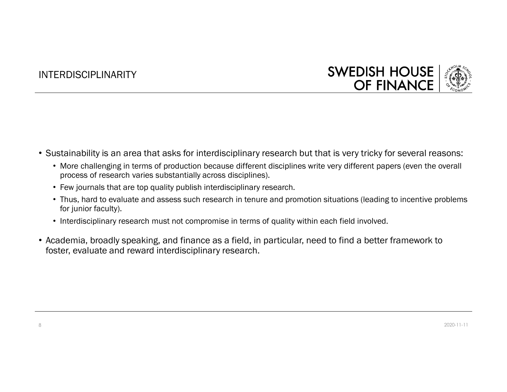### INTERDISCIPLINARITY



- Sustainability is an area that asks for interdisciplinary research but that is very tricky for several reasons:
	- More challenging in terms of production because different disciplines write very different papers (even the overall process of research varies substantially across disciplines).
	- Few journals that are top quality publish interdisciplinary research.
	- Thus, hard to evaluate and assess such research in tenure and promotion situations (leading to incentive problems for junior faculty).
	- Interdisciplinary research must not compromise in terms of quality within each field involved.
- Sustainability is an area that asks for interdisciplinary research but that is very tricky for several reasons:<br>• More challenging in terms of production because different disciplines wite very different papers (even the foster, evaluate and reward interdisciplinary research.